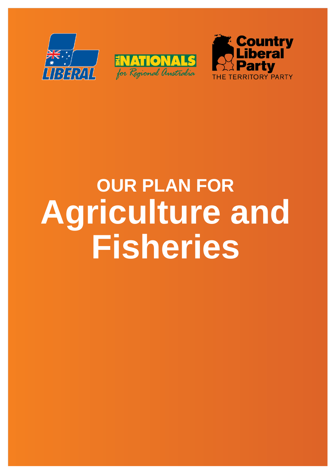





# **OUR PLAN FOR Agriculture and Fisheries**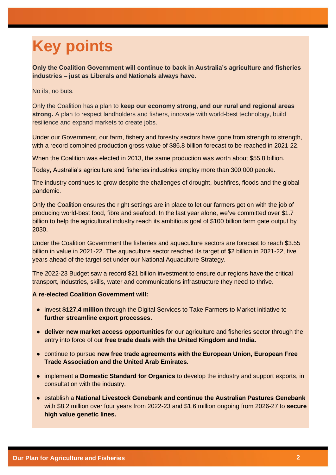# **Key points**

**Only the Coalition Government will continue to back in Australia's agriculture and fisheries industries – just as Liberals and Nationals always have.**

No ifs, no buts.

Only the Coalition has a plan to **keep our economy strong, and our rural and regional areas strong.** A plan to respect landholders and fishers, innovate with world-best technology, build resilience and expand markets to create jobs.

Under our Government, our farm, fishery and forestry sectors have gone from strength to strength, with a record combined production gross value of \$86.8 billion forecast to be reached in 2021-22.

When the Coalition was elected in 2013, the same production was worth about \$55.8 billion.

Today, Australia's agriculture and fisheries industries employ more than 300,000 people.

The industry continues to grow despite the challenges of drought, bushfires, floods and the global pandemic.

Only the Coalition ensures the right settings are in place to let our farmers get on with the job of producing world-best food, fibre and seafood. In the last year alone, we've committed over \$1.7 billion to help the agricultural industry reach its ambitious goal of \$100 billion farm gate output by 2030.

Under the Coalition Government the fisheries and aquaculture sectors are forecast to reach \$3.55 billion in value in 2021-22. The aquaculture sector reached its target of \$2 billion in 2021-22, five years ahead of the target set under our National Aquaculture Strategy.

The 2022-23 Budget saw a record \$21 billion investment to ensure our regions have the critical transport, industries, skills, water and communications infrastructure they need to thrive.

- invest **\$127.4 million** through the Digital Services to Take Farmers to Market initiative to **further streamline export processes.**
- **deliver new market access opportunities** for our agriculture and fisheries sector through the entry into force of our **free trade deals with the United Kingdom and India.**
- continue to pursue **new free trade agreements with the European Union, European Free Trade Association and the United Arab Emirates.**
- implement a **Domestic Standard for Organics** to develop the industry and support exports, in consultation with the industry.
- establish a **National Livestock Genebank and continue the Australian Pastures Genebank** with \$8.2 million over four years from 2022-23 and \$1.6 million ongoing from 2026-27 to **secure high value genetic lines.**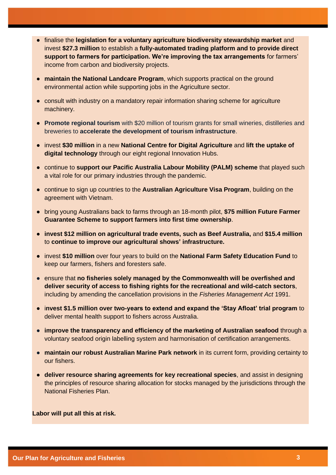- finalise the **legislation for a voluntary agriculture biodiversity stewardship market** and invest **\$27.3 million** to establish a **fully-automated trading platform and to provide direct support to farmers for participation. We're improving the tax arrangements** for farmers' income from carbon and biodiversity projects.
- **maintain the National Landcare Program**, which supports practical on the ground environmental action while supporting jobs in the Agriculture sector.
- consult with industry on a mandatory repair information sharing scheme for agriculture machinery.
- **Promote regional tourism** with \$20 million of tourism grants for small wineries, distilleries and breweries to **accelerate the development of tourism infrastructure**.
- invest **\$30 million** in a new **National Centre for Digital Agriculture** and **lift the uptake of digital technology** through our eight regional Innovation Hubs.
- continue to **support our Pacific Australia Labour Mobility (PALM) scheme** that played such a vital role for our primary industries through the pandemic.
- continue to sign up countries to the **Australian Agriculture Visa Program**, building on the agreement with Vietnam.
- bring young Australians back to farms through an 18-month pilot, **\$75 million Future Farmer Guarantee Scheme to support farmers into first time ownership**.
- **invest \$12 million on agricultural trade events, such as Beef Australia,** and **\$15.4 million** to **continue to improve our agricultural shows' infrastructure.**
- invest **\$10 million** over four years to build on the **National Farm Safety Education Fund** to keep our farmers, fishers and foresters safe.
- ensure that **no fisheries solely managed by the Commonwealth will be overfished and deliver security of access to fishing rights for the recreational and wild-catch sectors**, including by amending the cancellation provisions in the *Fisheries Management Act* 1991.
- i**nvest \$1.5 million over two-years to extend and expand the 'Stay Afloat' trial program** to deliver mental health support to fishers across Australia.
- **improve the transparency and efficiency of the marketing of Australian seafood** through a voluntary seafood origin labelling system and harmonisation of certification arrangements.
- **maintain our robust Australian Marine Park network** in its current form, providing certainty to our fishers.
- **deliver resource sharing agreements for key recreational species**, and assist in designing the principles of resource sharing allocation for stocks managed by the jurisdictions through the National Fisheries Plan.

**Labor will put all this at risk.**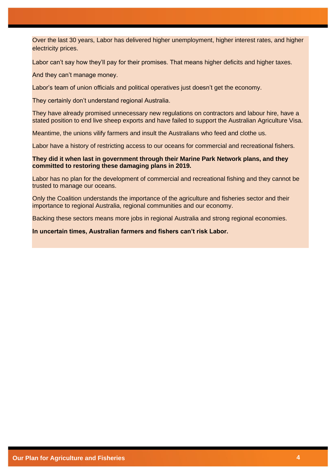Over the last 30 years, Labor has delivered higher unemployment, higher interest rates, and higher electricity prices.

Labor can't say how they'll pay for their promises. That means higher deficits and higher taxes.

And they can't manage money.

Labor's team of union officials and political operatives just doesn't get the economy.

They certainly don't understand regional Australia.

They have already promised unnecessary new regulations on contractors and labour hire, have a stated position to end live sheep exports and have failed to support the Australian Agriculture Visa.

Meantime, the unions vilify farmers and insult the Australians who feed and clothe us.

Labor have a history of restricting access to our oceans for commercial and recreational fishers.

#### **They did it when last in government through their Marine Park Network plans, and they committed to restoring these damaging plans in 2019.**

Labor has no plan for the development of commercial and recreational fishing and they cannot be trusted to manage our oceans.

Only the Coalition understands the importance of the agriculture and fisheries sector and their importance to regional Australia, regional communities and our economy.

Backing these sectors means more jobs in regional Australia and strong regional economies.

**In uncertain times, Australian farmers and fishers can't risk Labor.**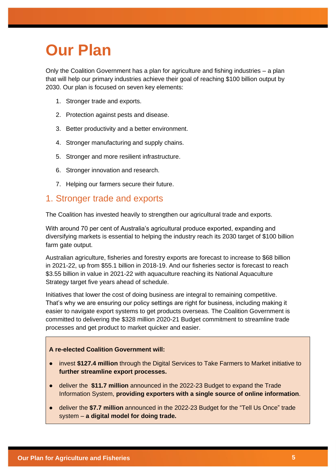# **Our Plan**

Only the Coalition Government has a plan for agriculture and fishing industries – a plan that will help our primary industries achieve their goal of reaching \$100 billion output by 2030. Our plan is focused on seven key elements:

- 1. Stronger trade and exports.
- 2. Protection against pests and disease.
- 3. Better productivity and a better environment.
- 4. Stronger manufacturing and supply chains.
- 5. Stronger and more resilient infrastructure.
- 6. Stronger innovation and research.
- 7. Helping our farmers secure their future.

### 1. Stronger trade and exports

The Coalition has invested heavily to strengthen our agricultural trade and exports.

With around 70 per cent of Australia's agricultural produce exported, expanding and diversifying markets is essential to helping the industry reach its 2030 target of \$100 billion farm gate output.

Australian agriculture, fisheries and forestry exports are forecast to increase to \$68 billion in 2021-22, up from \$55.1 billion in 2018-19. And our fisheries sector is forecast to reach \$3.55 billion in value in 2021-22 with aquaculture reaching its National Aquaculture Strategy target five years ahead of schedule.

Initiatives that lower the cost of doing business are integral to remaining competitive. That's why we are ensuring our policy settings are right for business, including making it easier to navigate export systems to get products overseas. The Coalition Government is committed to delivering the \$328 million 2020-21 Budget commitment to streamline trade processes and get product to market quicker and easier.

- invest **\$127.4 million** through the Digital Services to Take Farmers to Market initiative to **further streamline export processes.**
- deliver the **\$11.7 million** announced in the 2022-23 Budget to expand the Trade Information System, **providing exporters with a single source of online information**.
- deliver the **\$7.7 million** announced in the 2022-23 Budget for the "Tell Us Once" trade system – **a digital model for doing trade.**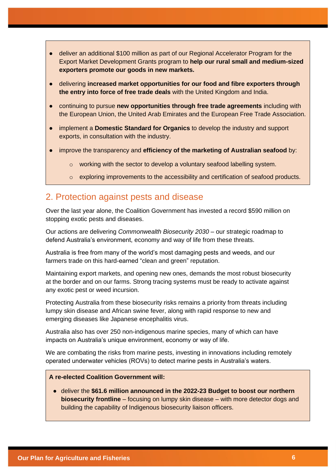- deliver an additional \$100 million as part of our Regional Accelerator Program for the Export Market Development Grants program to **help our rural small and medium-sized exporters promote our goods in new markets.**
- delivering **increased market opportunities for our food and fibre exporters through the entry into force of free trade deals** with the United Kingdom and India.
- continuing to pursue **new opportunities through free trade agreements** including with the European Union, the United Arab Emirates and the European Free Trade Association.
- implement a **Domestic Standard for Organics** to develop the industry and support exports, in consultation with the industry.
- improve the transparency and **efficiency of the marketing of Australian seafood** by:
	- o working with the sector to develop a voluntary seafood labelling system.
	- $\circ$  exploring improvements to the accessibility and certification of seafood products.

# 2. Protection against pests and disease

Over the last year alone, the Coalition Government has invested a record \$590 million on stopping exotic pests and diseases.

Our actions are delivering *Commonwealth Biosecurity 2030* – our strategic roadmap to defend Australia's environment, economy and way of life from these threats.

Australia is free from many of the world's most damaging pests and weeds, and our farmers trade on this hard-earned "clean and green" reputation.

Maintaining export markets, and opening new ones, demands the most robust biosecurity at the border and on our farms. Strong tracing systems must be ready to activate against any exotic pest or weed incursion.

Protecting Australia from these biosecurity risks remains a priority from threats including lumpy skin disease and African swine fever, along with rapid response to new and emerging diseases like Japanese encephalitis virus.

Australia also has over 250 non-indigenous marine species, many of which can have impacts on Australia's unique environment, economy or way of life.

We are combating the risks from marine pests, investing in innovations including remotely operated underwater vehicles (ROVs) to detect marine pests in Australia's waters.

#### **A re-elected Coalition Government will:**

● deliver the **\$61.6 million announced in the 2022-23 Budget to boost our northern biosecurity frontline** – focusing on lumpy skin disease – with more detector dogs and building the capability of Indigenous biosecurity liaison officers.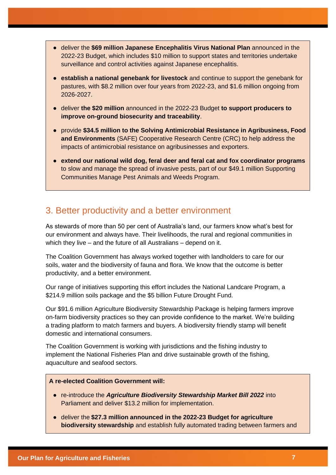- deliver the **\$69 million Japanese Encephalitis Virus National Plan** announced in the 2022-23 Budget, which includes \$10 million to support states and territories undertake surveillance and control activities against Japanese encephalitis.
- **establish a national genebank for livestock** and continue to support the genebank for pastures, with \$8.2 million over four years from 2022-23, and \$1.6 million ongoing from 2026-2027.
- deliver **the \$20 million** announced in the 2022-23 Budget **to support producers to improve on-ground biosecurity and traceability**.
- provide **\$34.5 million to the Solving Antimicrobial Resistance in Agribusiness, Food and Environments** (SAFE) Cooperative Research Centre (CRC) to help address the impacts of antimicrobial resistance on agribusinesses and exporters.
- **extend our national wild dog, feral deer and feral cat and fox coordinator programs** to slow and manage the spread of invasive pests, part of our \$49.1 million Supporting Communities Manage Pest Animals and Weeds Program.

# 3. Better productivity and a better environment

As stewards of more than 50 per cent of Australia's land, our farmers know what's best for our environment and always have. Their livelihoods, the rural and regional communities in which they live – and the future of all Australians – depend on it.

The Coalition Government has always worked together with landholders to care for our soils, water and the biodiversity of fauna and flora. We know that the outcome is better productivity, and a better environment.

Our range of initiatives supporting this effort includes the National Landcare Program, a \$214.9 million soils package and the \$5 billion Future Drought Fund.

Our \$91.6 million Agriculture Biodiversity Stewardship Package is helping farmers improve on-farm biodiversity practices so they can provide confidence to the market. We're building a trading platform to match farmers and buyers. A biodiversity friendly stamp will benefit domestic and international consumers.

The Coalition Government is working with jurisdictions and the fishing industry to implement the National Fisheries Plan and drive sustainable growth of the fishing, aquaculture and seafood sectors.

- re-introduce the *Agriculture Biodiversity Stewardship Market Bill 2022* into Parliament and deliver \$13.2 million for implementation.
- deliver the **\$27.3 million announced in the 2022-23 Budget for agriculture biodiversity stewardship** and establish fully automated trading between farmers and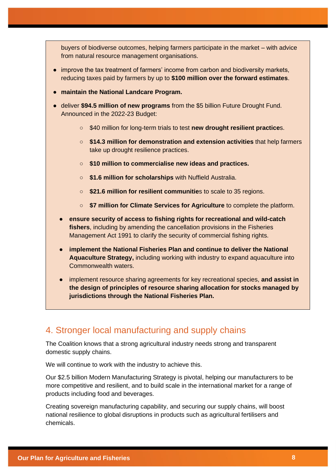buyers of biodiverse outcomes, helping farmers participate in the market – with advice from natural resource management organisations.

- improve the tax treatment of farmers' income from carbon and biodiversity markets, reducing taxes paid by farmers by up to **\$100 million over the forward estimates**.
- **maintain the National Landcare Program.**
- deliver **\$94.5 million of new programs** from the \$5 billion Future Drought Fund. Announced in the 2022-23 Budget:
	- \$40 million for long-term trials to test **new drought resilient practice**s.
	- **\$14.3 million for demonstration and extension activities** that help farmers take up drought resilience practices.
	- **\$10 million to commercialise new ideas and practices.**
	- **\$1.6 million for scholarships** with Nuffield Australia.
	- **\$21.6 million for resilient communitie**s to scale to 35 regions.
	- **\$7 million for Climate Services for Agriculture** to complete the platform.
	- **ensure security of access to fishing rights for recreational and wild-catch fishers**, including by amending the cancellation provisions in the Fisheries Management Act 1991 to clarify the security of commercial fishing rights.
	- **implement the National Fisheries Plan and continue to deliver the National Aquaculture Strategy,** including working with industry to expand aquaculture into Commonwealth waters.
	- implement resource sharing agreements for key recreational species, **and assist in the design of principles of resource sharing allocation for stocks managed by jurisdictions through the National Fisheries Plan.**

# 4. Stronger local manufacturing and supply chains

The Coalition knows that a strong agricultural industry needs strong and transparent domestic supply chains.

We will continue to work with the industry to achieve this.

Our \$2.5 billion Modern Manufacturing Strategy is pivotal, helping our manufacturers to be more competitive and resilient, and to build scale in the international market for a range of products including food and beverages.

Creating sovereign manufacturing capability, and securing our supply chains, will boost national resilience to global disruptions in products such as agricultural fertilisers and chemicals.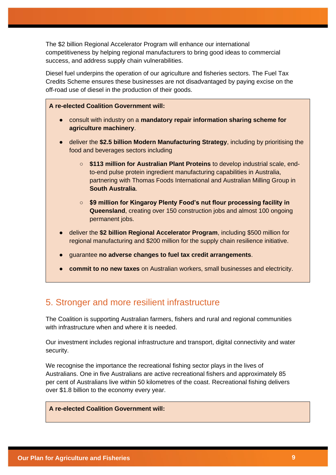The \$2 billion Regional Accelerator Program will enhance our international competitiveness by helping regional manufacturers to bring good ideas to commercial success, and address supply chain vulnerabilities.

Diesel fuel underpins the operation of our agriculture and fisheries sectors. The Fuel Tax Credits Scheme ensures these businesses are not disadvantaged by paying excise on the off-road use of diesel in the production of their goods.

#### **A re-elected Coalition Government will:**

- consult with industry on a **mandatory repair information sharing scheme for agriculture machinery**.
- deliver the **\$2.5 billion Modern Manufacturing Strategy**, including by prioritising the food and beverages sectors including
	- **\$113 million for Australian Plant Proteins** to develop industrial scale, endto-end pulse protein ingredient manufacturing capabilities in Australia, partnering with Thomas Foods International and Australian Milling Group in **South Australia**.
	- **\$9 million for Kingaroy Plenty Food's nut flour processing facility in Queensland**, creating over 150 construction jobs and almost 100 ongoing permanent jobs.
- deliver the **\$2 billion Regional Accelerator Program**, including \$500 million for regional manufacturing and \$200 million for the supply chain resilience initiative.
- guarantee **no adverse changes to fuel tax credit arrangements**.
- **commit to no new taxes** on Australian workers, small businesses and electricity.

# 5. Stronger and more resilient infrastructure

The Coalition is supporting Australian farmers, fishers and rural and regional communities with infrastructure when and where it is needed.

Our investment includes regional infrastructure and transport, digital connectivity and water security.

We recognise the importance the recreational fishing sector plays in the lives of Australians. One in five Australians are active recreational fishers and approximately 85 per cent of Australians live within 50 kilometres of the coast. Recreational fishing delivers over \$1.8 billion to the economy every year.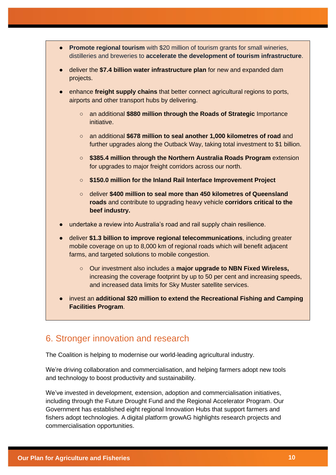- **Promote regional tourism** with \$20 million of tourism grants for small wineries, distilleries and breweries to **accelerate the development of tourism infrastructure**.
- deliver the **\$7.4 billion water infrastructure plan** for new and expanded dam projects.
- enhance **freight supply chains** that better connect agricultural regions to ports, airports and other transport hubs by delivering.
	- an additional **\$880 million through the Roads of Strategic** Importance initiative.
	- an additional **\$678 million to seal another 1,000 kilometres of road** and further upgrades along the Outback Way, taking total investment to \$1 billion.
	- **\$385.4 million through the Northern Australia Roads Program** extension for upgrades to major freight corridors across our north.
	- **\$150.0 million for the Inland Rail Interface Improvement Project**
	- deliver **\$400 million to seal more than 450 kilometres of Queensland roads** and contribute to upgrading heavy vehicle **corridors critical to the beef industry.**
- undertake a review into Australia's road and rail supply chain resilience.
- deliver **\$1.3 billion to improve regional telecommunications**, including greater mobile coverage on up to 8,000 km of regional roads which will benefit adjacent farms, and targeted solutions to mobile congestion.
	- Our investment also includes a **major upgrade to NBN Fixed Wireless,**  increasing the coverage footprint by up to 50 per cent and increasing speeds, and increased data limits for Sky Muster satellite services.
- invest an **additional \$20 million to extend the Recreational Fishing and Camping Facilities Program**.

# 6. Stronger innovation and research

The Coalition is helping to modernise our world-leading agricultural industry.

We're driving collaboration and commercialisation, and helping farmers adopt new tools and technology to boost productivity and sustainability.

We've invested in development, extension, adoption and commercialisation initiatives, including through the Future Drought Fund and the Regional Accelerator Program. Our Government has established eight regional Innovation Hubs that support farmers and fishers adopt technologies. A digital platform growAG highlights research projects and commercialisation opportunities.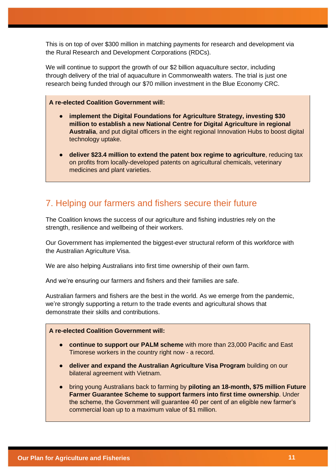This is on top of over \$300 million in matching payments for research and development via the Rural Research and Development Corporations (RDCs).

We will continue to support the growth of our \$2 billion aquaculture sector, including through delivery of the trial of aquaculture in Commonwealth waters. The trial is just one research being funded through our \$70 million investment in the Blue Economy CRC.

#### **A re-elected Coalition Government will:**

- **implement the Digital Foundations for Agriculture Strategy, investing \$30 million to establish a new National Centre for Digital Agriculture in regional Australia**, and put digital officers in the eight regional Innovation Hubs to boost digital technology uptake.
- **deliver \$23.4 million to extend the patent box regime to agriculture**, reducing tax on profits from locally-developed patents on agricultural chemicals, veterinary medicines and plant varieties.

# 7. Helping our farmers and fishers secure their future

The Coalition knows the success of our agriculture and fishing industries rely on the strength, resilience and wellbeing of their workers.

Our Government has implemented the biggest-ever structural reform of this workforce with the Australian Agriculture Visa.

We are also helping Australians into first time ownership of their own farm.

And we're ensuring our farmers and fishers and their families are safe.

Australian farmers and fishers are the best in the world. As we emerge from the pandemic, we're strongly supporting a return to the trade events and agricultural shows that demonstrate their skills and contributions.

- **continue to support our PALM scheme** with more than 23,000 Pacific and East Timorese workers in the country right now - a record.
- **deliver and expand the Australian Agriculture Visa Program** building on our bilateral agreement with Vietnam.
- bring young Australians back to farming by **piloting an 18-month, \$75 million Future Farmer Guarantee Scheme to support farmers into first time ownership**. Under the scheme, the Government will guarantee 40 per cent of an eligible new farmer's commercial loan up to a maximum value of \$1 million.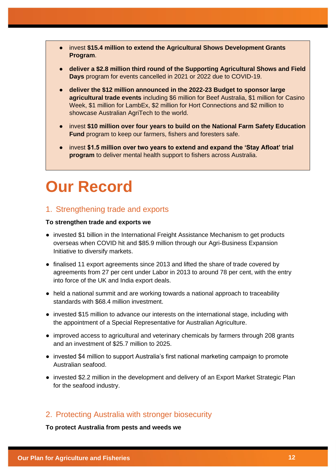- invest **\$15.4 million to extend the Agricultural Shows Development Grants Program**.
- **deliver a \$2.8 million third round of the Supporting Agricultural Shows and Field Days** program for events cancelled in 2021 or 2022 due to COVID-19.
- **deliver the \$12 million announced in the 2022-23 Budget to sponsor large agricultural trade events** including \$6 million for Beef Australia, \$1 million for Casino Week, \$1 million for LambEx, \$2 million for Hort Connections and \$2 million to showcase Australian AgriTech to the world.
- invest **\$10 million over four years to build on the National Farm Safety Education Fund** program to keep our farmers, fishers and foresters safe.
- invest **\$1.5 million over two years to extend and expand the 'Stay Afloat' trial program** to deliver mental health support to fishers across Australia.

# **Our Record**

#### 1. Strengthening trade and exports

#### **To strengthen trade and exports we**

- invested \$1 billion in the International Freight Assistance Mechanism to get products overseas when COVID hit and \$85.9 million through our Agri-Business Expansion Initiative to diversify markets.
- finalised 11 export agreements since 2013 and lifted the share of trade covered by agreements from 27 per cent under Labor in 2013 to around 78 per cent, with the entry into force of the UK and India export deals.
- held a national summit and are working towards a national approach to traceability standards with \$68.4 million investment.
- invested \$15 million to advance our interests on the international stage, including with the appointment of a Special Representative for Australian Agriculture.
- improved access to agricultural and veterinary chemicals by farmers through 208 grants and an investment of \$25.7 million to 2025.
- invested \$4 million to support Australia's first national marketing campaign to promote Australian seafood.
- invested \$2.2 million in the development and delivery of an Export Market Strategic Plan for the seafood industry.

### 2. Protecting Australia with stronger biosecurity

**To protect Australia from pests and weeds we**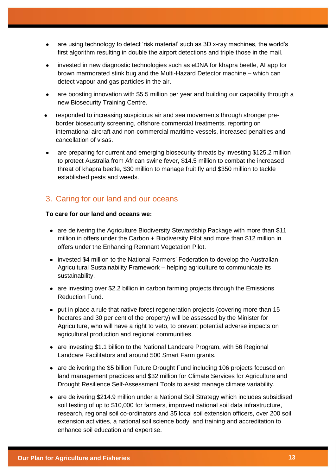- are using technology to detect 'risk material' such as 3D x-ray machines, the world's first algorithm resulting in double the airport detections and triple those in the mail.
- invested in new diagnostic technologies such as eDNA for khapra beetle. AI app for brown marmorated stink bug and the Multi-Hazard Detector machine – which can detect vapour and gas particles in the air.
- are boosting innovation with \$5.5 million per year and building our capability through a new Biosecurity Training Centre.
- responded to increasing suspicious air and sea movements through stronger preborder biosecurity screening, offshore commercial treatments, reporting on international aircraft and non-commercial maritime vessels, increased penalties and cancellation of visas.
- are preparing for current and emerging biosecurity threats by investing \$125.2 million to protect Australia from African swine fever, \$14.5 million to combat the increased threat of khapra beetle, \$30 million to manage fruit fly and \$350 million to tackle established pests and weeds.

### 3. Caring for our land and our oceans

#### **To care for our land and oceans we:**

- are delivering the Agriculture Biodiversity Stewardship Package with more than \$11 million in offers under the Carbon + Biodiversity Pilot and more than \$12 million in offers under the Enhancing Remnant Vegetation Pilot.
- invested \$4 million to the National Farmers' Federation to develop the Australian Agricultural Sustainability Framework – helping agriculture to communicate its sustainability.
- are investing over \$2.2 billion in carbon farming projects through the Emissions Reduction Fund.
- put in place a rule that native forest regeneration projects (covering more than 15 hectares and 30 per cent of the property) will be assessed by the Minister for Agriculture, who will have a right to veto, to prevent potential adverse impacts on agricultural production and regional communities.
- are investing \$1.1 billion to the National Landcare Program, with 56 Regional Landcare Facilitators and around 500 Smart Farm grants.
- are delivering the \$5 billion Future Drought Fund including 106 projects focused on land management practices and \$32 million for Climate Services for Agriculture and Drought Resilience Self-Assessment Tools to assist manage climate variability.
- are delivering \$214.9 million under a National Soil Strategy which includes subsidised soil testing of up to \$10,000 for farmers, improved national soil data infrastructure, research, regional soil co-ordinators and 35 local soil extension officers, over 200 soil extension activities, a national soil science body, and training and accreditation to enhance soil education and expertise.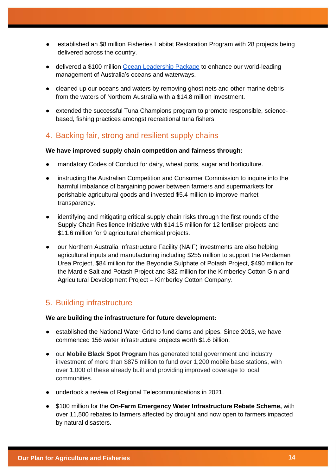- established an \$8 million Fisheries Habitat Restoration Program with 28 projects being delivered across the country.
- delivered a \$100 million [Ocean Leadership Package](https://www.awe.gov.au/science-research/climate-change/ocean-sustainability) to enhance our world-leading management of Australia's oceans and waterways.
- cleaned up our oceans and waters by removing ghost nets and other marine debris from the waters of Northern Australia with a \$14.8 million investment.
- extended the successful Tuna Champions program to promote responsible, sciencebased, fishing practices amongst recreational tuna fishers.

### 4. Backing fair, strong and resilient supply chains

#### **We have improved supply chain competition and fairness through:**

- mandatory Codes of Conduct for dairy, wheat ports, sugar and horticulture.
- instructing the Australian Competition and Consumer Commission to inquire into the harmful imbalance of bargaining power between farmers and supermarkets for perishable agricultural goods and invested \$5.4 million to improve market transparency.
- identifying and mitigating critical supply chain risks through the first rounds of the Supply Chain Resilience Initiative with \$14.15 million for 12 fertiliser projects and \$11.6 million for 9 agricultural chemical projects.
- our Northern Australia Infrastructure Facility (NAIF) investments are also helping agricultural inputs and manufacturing including \$255 million to support the Perdaman Urea Project, \$84 million for the Beyondie Sulphate of Potash Project, \$490 million for the Mardie Salt and Potash Project and \$32 million for the Kimberley Cotton Gin and Agricultural Development Project – Kimberley Cotton Company.

# 5. Building infrastructure

#### **We are building the infrastructure for future development:**

- established the National Water Grid to fund dams and pipes. Since 2013, we have commenced 156 water infrastructure projects worth \$1.6 billion.
- our **Mobile Black Spot Program** has generated total government and industry investment of more than \$875 million to fund over 1,200 mobile base stations, with over 1,000 of these already built and providing improved coverage to local communities.
- undertook a review of Regional Telecommunications in 2021.
- \$100 million for the **On-Farm Emergency Water Infrastructure Rebate Scheme,** with over 11,500 rebates to farmers affected by drought and now open to farmers impacted by natural disasters.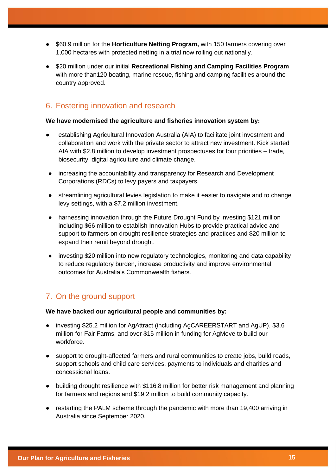- \$60.9 million for the **Horticulture Netting Program,** with 150 farmers covering over 1,000 hectares with protected netting in a trial now rolling out nationally.
- \$20 million under our initial **Recreational Fishing and Camping Facilities Program** with more than120 boating, marine rescue, fishing and camping facilities around the country approved.

# 6. Fostering innovation and research

#### **We have modernised the agriculture and fisheries innovation system by:**

- establishing Agricultural Innovation Australia (AIA) to facilitate joint investment and collaboration and work with the private sector to attract new investment. Kick started AIA with \$2.8 million to develop investment prospectuses for four priorities – trade, biosecurity, digital agriculture and climate change.
- increasing the accountability and transparency for Research and Development Corporations (RDCs) to levy payers and taxpayers.
- streamlining agricultural levies legislation to make it easier to navigate and to change levy settings, with a \$7.2 million investment.
- harnessing innovation through the Future Drought Fund by investing \$121 million including \$66 million to establish Innovation Hubs to provide practical advice and support to farmers on drought resilience strategies and practices and \$20 million to expand their remit beyond drought.
- investing \$20 million into new regulatory technologies, monitoring and data capability to reduce regulatory burden, increase productivity and improve environmental outcomes for Australia's Commonwealth fishers.

# 7. On the ground support

#### **We have backed our agricultural people and communities by:**

- investing \$25.2 million for AgAttract (including AgCAREERSTART and AgUP), \$3.6 million for Fair Farms, and over \$15 million in funding for AgMove to build our workforce.
- support to drought-affected farmers and rural communities to create jobs, build roads, support schools and child care services, payments to individuals and charities and concessional loans.
- building drought resilience with \$116.8 million for better risk management and planning for farmers and regions and \$19.2 million to build community capacity.
- restarting the PALM scheme through the pandemic with more than 19,400 arriving in Australia since September 2020.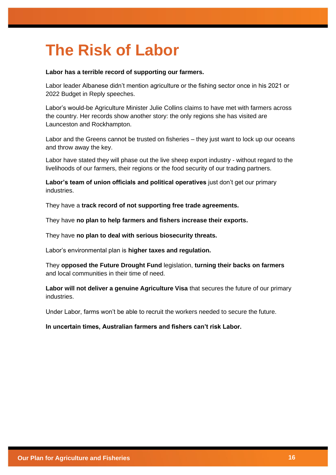# **The Risk of Labor**

#### **Labor has a terrible record of supporting our farmers.**

Labor leader Albanese didn't mention agriculture or the fishing sector once in his 2021 or 2022 Budget in Reply speeches.

Labor's would-be Agriculture Minister Julie Collins claims to have met with farmers across the country. Her records show another story: the only regions she has visited are Launceston and Rockhampton.

Labor and the Greens cannot be trusted on fisheries – they just want to lock up our oceans and throw away the key.

Labor have stated they will phase out the live sheep export industry - without regard to the livelihoods of our farmers, their regions or the food security of our trading partners.

**Labor's team of union officials and political operatives** just don't get our primary industries.

They have a **track record of not supporting free trade agreements.**

They have **no plan to help farmers and fishers increase their exports.**

They have **no plan to deal with serious biosecurity threats.**

Labor's environmental plan is **higher taxes and regulation.**

They **opposed the Future Drought Fund** legislation, **turning their backs on farmers** and local communities in their time of need.

**Labor will not deliver a genuine Agriculture Visa** that secures the future of our primary industries.

Under Labor, farms won't be able to recruit the workers needed to secure the future.

#### **In uncertain times, Australian farmers and fishers can't risk Labor.**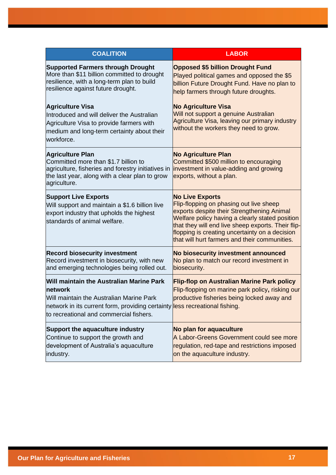| <b>COALITION</b>                                                                                                                                                                                                          | <b>LABOR</b>                                                                                                                                                                                                                                                                                                                |
|---------------------------------------------------------------------------------------------------------------------------------------------------------------------------------------------------------------------------|-----------------------------------------------------------------------------------------------------------------------------------------------------------------------------------------------------------------------------------------------------------------------------------------------------------------------------|
| <b>Supported Farmers through Drought</b><br>More than \$11 billion committed to drought<br>resilience, with a long-term plan to build<br>resilience against future drought.                                               | <b>Opposed \$5 billion Drought Fund</b><br>Played political games and opposed the \$5<br>billion Future Drought Fund. Have no plan to<br>help farmers through future droughts.                                                                                                                                              |
| <b>Agriculture Visa</b><br>Introduced and will deliver the Australian<br>Agriculture Visa to provide farmers with<br>medium and long-term certainty about their<br>workforce.                                             | <b>No Agriculture Visa</b><br>Will not support a genuine Australian<br>Agriculture Visa, leaving our primary industry<br>without the workers they need to grow.                                                                                                                                                             |
| <b>Agriculture Plan</b><br>Committed more than \$1.7 billion to<br>agriculture, fisheries and forestry initiatives in<br>the last year, along with a clear plan to grow<br>agriculture.                                   | <b>No Agriculture Plan</b><br>Committed \$500 million to encouraging<br>investment in value-adding and growing<br>exports, without a plan.                                                                                                                                                                                  |
| <b>Support Live Exports</b><br>Will support and maintain a \$1.6 billion live<br>export industry that upholds the highest<br>standards of animal welfare.                                                                 | <b>No Live Exports</b><br>Flip-flopping on phasing out live sheep<br>exports despite their Strengthening Animal<br>Welfare policy having a clearly stated position<br>that they will end live sheep exports. Their flip-<br>flopping is creating uncertainty on a decision<br>that will hurt farmers and their communities. |
| <b>Record biosecurity investment</b><br>Record investment in biosecurity, with new<br>and emerging technologies being rolled out.                                                                                         | No biosecurity investment announced<br>No plan to match our record investment in<br>biosecurity.                                                                                                                                                                                                                            |
| Will maintain the Australian Marine Park<br>network<br>Will maintain the Australian Marine Park<br>network in its current form, providing certainty less recreational fishing.<br>to recreational and commercial fishers. | <b>Flip-flop on Australian Marine Park policy</b><br>Flip-flopping on marine park policy, risking our<br>productive fisheries being locked away and                                                                                                                                                                         |
| Support the aquaculture industry<br>Continue to support the growth and<br>development of Australia's aquaculture<br>industry.                                                                                             | No plan for aquaculture<br>A Labor-Greens Government could see more<br>regulation, red-tape and restrictions imposed<br>on the aquaculture industry.                                                                                                                                                                        |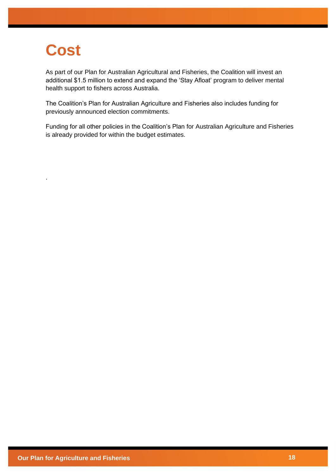# **Cost**

.

As part of our Plan for Australian Agricultural and Fisheries, the Coalition will invest an additional \$1.5 million to extend and expand the 'Stay Afloat' program to deliver mental health support to fishers across Australia.

The Coalition's Plan for Australian Agriculture and Fisheries also includes funding for previously announced election commitments.

Funding for all other policies in the Coalition's Plan for Australian Agriculture and Fisheries is already provided for within the budget estimates.